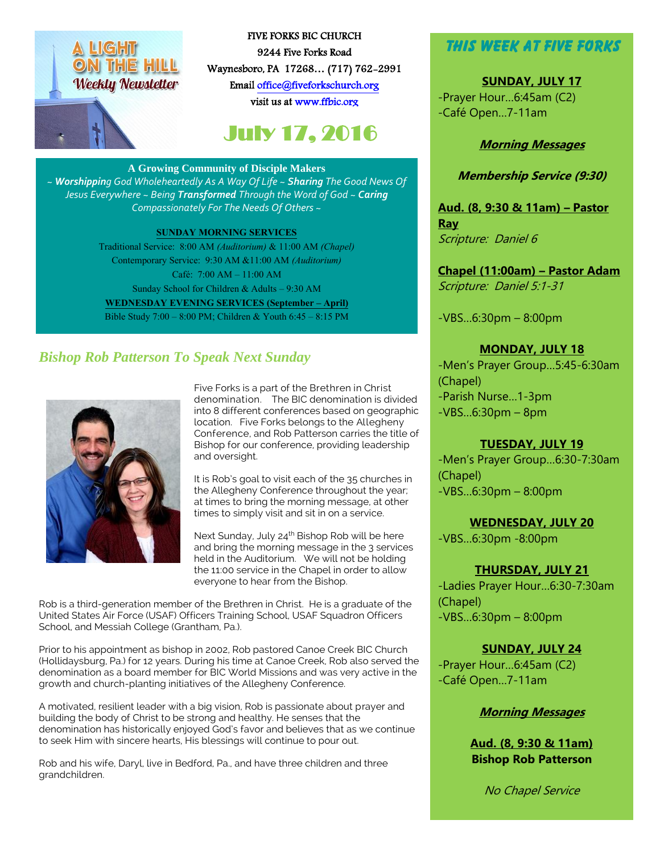# ON THE HILL **Weekly Newsletter**

FIVE FORKS BIC CHURCH 9244 Five Forks Road Waynesboro, PA 17268… (717) 762-2991 Emai[l office@fiveforkschurch.org](mailto:office@fiveforkschurch.org)  visit us a[t www.ffbic.org](http://www.ffbic.org/) 

## July 17, 2016

#### **A Growing Community of Disciple Makers**

*~ Worshipping God Wholeheartedly As A Way Of Life ~ Sharing The Good News Of Jesus Everywhere ~ Being Transformed Through the Word of God ~ Caring Compassionately For The Needs Of Others ~*

#### **SUNDAY MORNING SERVICES**

Traditional Service: 8:00 AM *(Auditorium)* & 11:00 AM *(Chapel)* Contemporary Service: 9:30 AM &11:00 AM *(Auditorium)* Café: 7:00 AM – 11:00 AM Sunday School for Children & Adults – 9:30 AM **WEDNESDAY EVENING SERVICES (September – April)** Bible Study 7:00 – 8:00 PM; Children & Youth 6:45 – 8:15 PM

### *Bishop Rob Patterson To Speak Next Sunday*



Five Forks is a part of the Brethren in Christ denomination. The BIC denomination is divided into 8 different conferences based on geographic location. Five Forks belongs to the Allegheny Conference, and Rob Patterson carries the title of Bishop for our conference, providing leadership and oversight.

It is Rob's goal to visit each of the 35 churches in the Allegheny Conference throughout the year; at times to bring the morning message, at other times to simply visit and sit in on a service.

Next Sunday, July 24<sup>th</sup> Bishop Rob will be here and bring the morning message in the 3 services held in the Auditorium. We will not be holding the 11:00 service in the Chapel in order to allow everyone to hear from the Bishop.

Rob is a third-generation member of the Brethren in Christ. He is a graduate of the United States Air Force (USAF) Officers Training School, USAF Squadron Officers School, and Messiah College (Grantham, Pa.).

Prior to his appointment as bishop in 2002, Rob pastored Canoe Creek BIC Church (Hollidaysburg, Pa.) for 12 years. During his time at Canoe Creek, Rob also served the denomination as a board member for BIC World Missions and was very active in the growth and church-planting initiatives of the Allegheny Conference.

A motivated, resilient leader with a big vision, Rob is passionate about prayer and building the body of Christ to be strong and healthy. He senses that the denomination has historically enjoyed God's favor and believes that as we continue to seek Him with sincere hearts, His blessings will continue to pour out.

Rob and his wife, Daryl, live in Bedford, Pa., and have three children and three grandchildren.

### **This Week at Five Forks**

**SUNDAY, JULY 17** -Prayer Hour…6:45am (C2) -Café Open…7-11am

#### **Morning Messages**

#### **Membership Service (9:30)**

**Aud. (8, 9:30 & 11am) – Pastor Ray** Scripture: Daniel 6

**Chapel (11:00am) – Pastor Adam** Scripture: Daniel 5:1-31

-VBS…6:30pm – 8:00pm

#### **MONDAY, JULY 18**

-Men's Prayer Group…5:45-6:30am (Chapel) -Parish Nurse…1-3pm -VBS…6:30pm – 8pm

#### **TUESDAY, JULY 19**

-Men's Prayer Group…6:30-7:30am (Chapel) -VBS…6:30pm – 8:00pm

**WEDNESDAY, JULY 20** 

-VBS…6:30pm -8:00pm

#### **THURSDAY, JULY 21**

-Ladies Prayer Hour…6:30-7:30am (Chapel) -VBS…6:30pm – 8:00pm

#### **SUNDAY, JULY 24**

-Prayer Hour…6:45am (C2) -Café Open…7-11am

#### **Morning Messages**

**Aud. (8, 9:30 & 11am) Bishop Rob Patterson**

No Chapel Service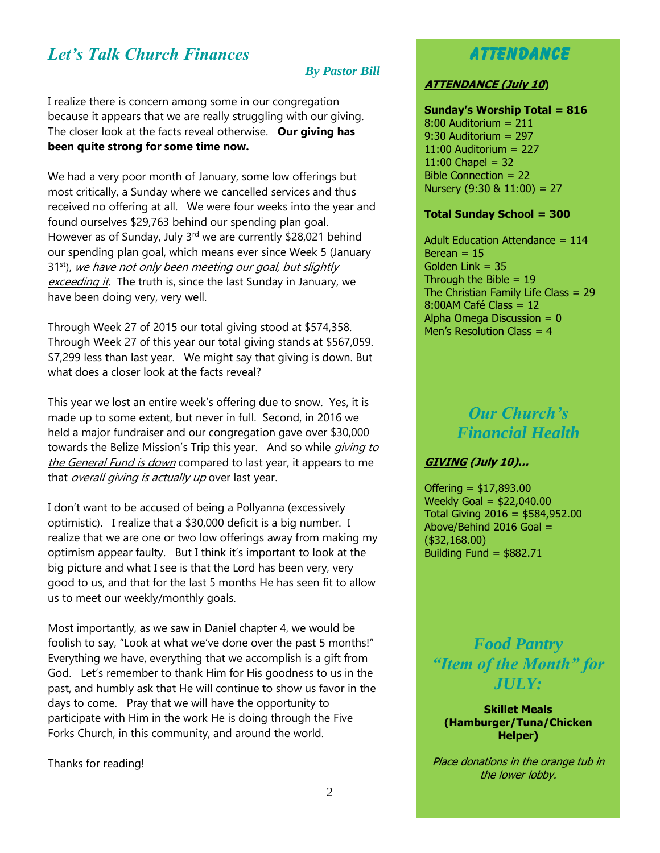### *Let's Talk Church Finances*

#### *By Pastor Bill*

I realize there is concern among some in our congregation because it appears that we are really struggling with our giving. The closer look at the facts reveal otherwise. **Our giving has been quite strong for some time now.**

We had a very poor month of January, some low offerings but most critically, a Sunday where we cancelled services and thus received no offering at all. We were four weeks into the year and found ourselves \$29,763 behind our spending plan goal. However as of Sunday, July 3<sup>rd</sup> we are currently \$28,021 behind our spending plan goal, which means ever since Week 5 (January 31<sup>st</sup>), we have not only been meeting our goal, but slightly exceeding it. The truth is, since the last Sunday in January, we have been doing very, very well.

Through Week 27 of 2015 our total giving stood at \$574,358. Through Week 27 of this year our total giving stands at \$567,059. \$7,299 less than last year. We might say that giving is down. But what does a closer look at the facts reveal?

This year we lost an entire week's offering due to snow. Yes, it is made up to some extent, but never in full. Second, in 2016 we held a major fundraiser and our congregation gave over \$30,000 towards the Belize Mission's Trip this year. And so while *giving to* the General Fund is down compared to last year, it appears to me that *overall giving is actually up* over last year.

I don't want to be accused of being a Pollyanna (excessively optimistic). I realize that a \$30,000 deficit is a big number. I realize that we are one or two low offerings away from making my optimism appear faulty. But I think it's important to look at the big picture and what I see is that the Lord has been very, very good to us, and that for the last 5 months He has seen fit to allow us to meet our weekly/monthly goals.

Most importantly, as we saw in Daniel chapter 4, we would be foolish to say, "Look at what we've done over the past 5 months!" Everything we have, everything that we accomplish is a gift from God. Let's remember to thank Him for His goodness to us in the past, and humbly ask that He will continue to show us favor in the days to come. Pray that we will have the opportunity to participate with Him in the work He is doing through the Five Forks Church, in this community, and around the world.

Thanks for reading!

### **Attendance**

#### **ATTENDANCE (July 10)**

**Sunday's Worship Total = 816** 8:00 Auditorium = 211 9:30 Auditorium = 297 11:00 Auditorium = 227  $11:00$  Chapel = 32 Bible Connection = 22 Nursery  $(9:30 \& 11:00) = 27$ 

#### **Total Sunday School = 300**

Adult Education Attendance = 114 Berean  $= 15$ Golden Link = 35 Through the Bible  $= 19$ The Christian Family Life Class = 29 8:00AM Café Class = 12 Alpha Omega Discussion  $= 0$ Men's Resolution Class = 4

> *Our Church's Financial Health*

#### **GIVING (July 10)…**

Offering = \$17,893.00 Weekly Goal = \$22,040.00 Total Giving 2016 = \$584,952.00 Above/Behind 2016 Goal = (\$32,168.00) Building Fund =  $$882.71$ 

*Food Pantry "Item of the Month" for*   $\overline{I}$ *JULY*:

**Skillet Meals (Hamburger/Tuna/Chicken Helper)**

Place donations in the orange tub in the lower lobby.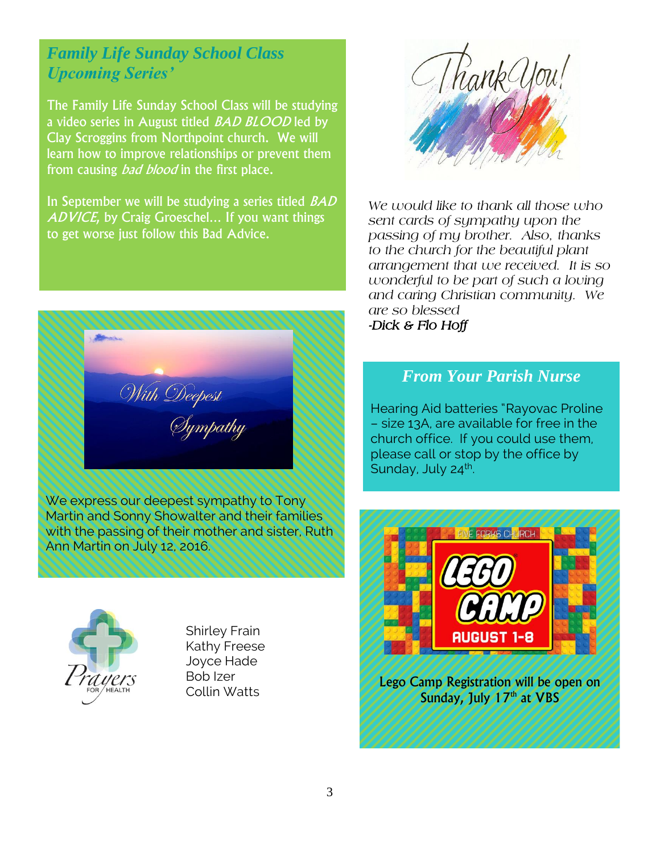### *Family Life Sunday School Class Upcoming Series'*

The Family Life Sunday School Class will be studying a video series in August titled *BAD BLOOD* led by Clay Scroggins from Northpoint church. We will learn how to improve relationships or prevent them from causing *bad blood* in the first place.

In September we will be studying a series titled *BAD* ADVICE, by Craig Groeschel... If you want things to get worse just follow this Bad Advice.



We express our deepest sympathy to Tony Martin and Sonny Showalter and their families with the passing of their mother and sister, Ruth Ann Martin on July 12, 2016.



 Shirley Frain Kathy Freese Joyce Hade Bob Izer Collin Watts



*We would like to thank all those who sent cards of sympathy upon the passing of my brother. Also, thanks to the church for the beautiful plant arrangement that we received. It is so wonderful to be part of such a loving and caring Christian community. We are so blessed -Dick & Flo Hoff* 

### *From Your Parish Nurse*

Hearing Aid batteries "Rayovac Proline – size 13A, are available for free in the church office. If you could use them, please call or stop by the office by Sunday, July 24<sup>th</sup>. .



Lego Camp Registration will be open on Sunday, July 17<sup>th</sup> at VBS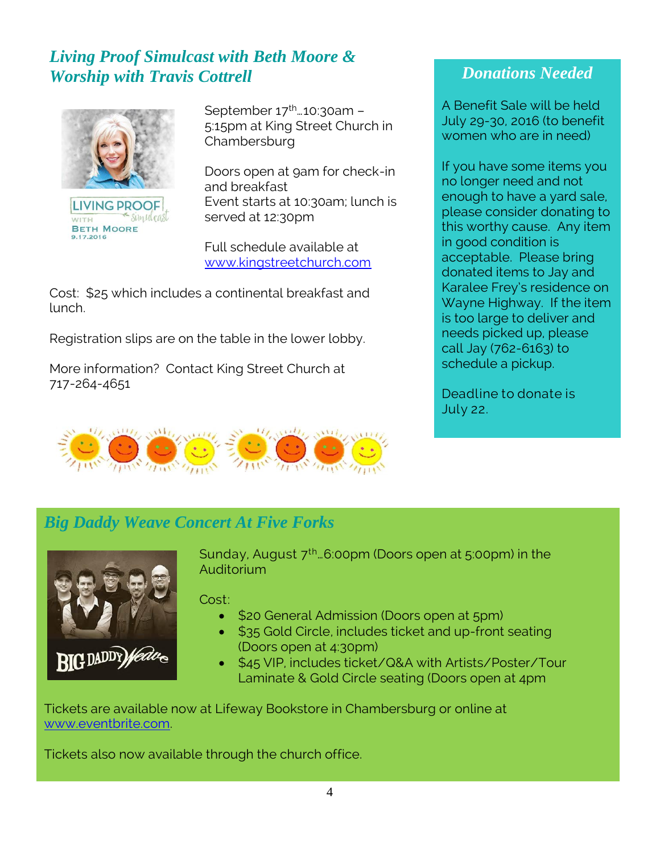### *Living Proof Simulcast with Beth Moore & Worship with Travis Cottrell*



**LIVING PROOF** simulcasi WITH **BETH MOORE** 9.17.2016

September 17<sup>th</sup>...10:30am -5:15pm at King Street Church in **Chambersburg** 

Doors open at 9am for check-in and breakfast Event starts at 10:30am; lunch is served at 12:30pm

Full schedule available at [www.kingstreetchurch.com](http://www.kingstreetchurch.com/)

Cost: \$25 which includes a continental breakfast and lunch.

Registration slips are on the table in the lower lobby.

More information? Contact King Street Church at 717-264-4651



### *Donations Needed*

A Benefit Sale will be held July 29-30, 2016 (to benefit women who are in need)

If you have some items you no longer need and not enough to have a yard sale, please consider donating to this worthy cause. Any item in good condition is acceptable. Please bring donated items to Jay and Karalee Frey's residence on Wayne Highway. If the item is too large to deliver and needs picked up, please call Jay (762-6163) to schedule a pickup.

Deadline to donate is July 22.

### *Big Daddy Weave Concert At Five Forks*



Sunday, August  $7^{\text{th}}$ ...6:00pm (Doors open at 5:00pm) in the Auditorium

Cost:

- \$20 General Admission (Doors open at 5pm)
- \$35 Gold Circle, includes ticket and up-front seating (Doors open at 4:30pm)
- \$45 VIP, includes ticket/Q&A with Artists/Poster/Tour Laminate & Gold Circle seating (Doors open at 4pm

Tickets are available now at Lifeway Bookstore in Chambersburg or online at [www.eventbrite.com.](http://www.eventbrite.com/)

Tickets also now available through the church office.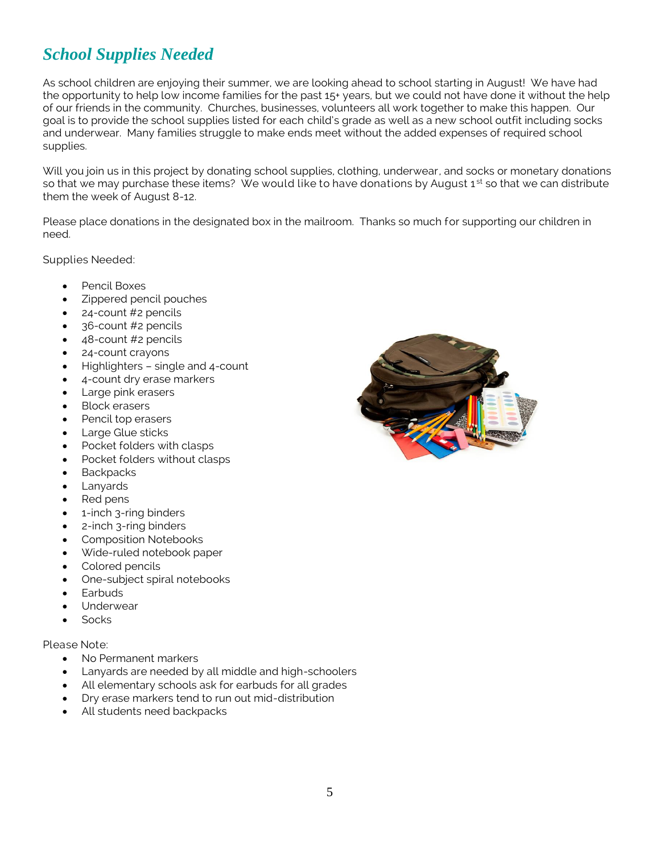### *School Supplies Needed*

As school children are enjoying their summer, we are looking ahead to school starting in August! We have had the opportunity to help low income families for the past 15+ years, but we could not have done it without the help of our friends in the community. Churches, businesses, volunteers all work together to make this happen. Our goal is to provide the school supplies listed for each child's grade as well as a new school outfit including socks and underwear. Many families struggle to make ends meet without the added expenses of required school supplies.

Will you join us in this project by donating school supplies, clothing, underwear, and socks or monetary donations so that we may purchase these items? We would like to have donations by August 1<sup>st</sup> so that we can distribute them the week of August 8-12.

Please place donations in the designated box in the mailroom. Thanks so much for supporting our children in need.

Supplies Needed:

- Pencil Boxes
- Zippered pencil pouches
- 24-count #2 pencils
- 36-count #2 pencils
- 48-count #2 pencils
- 24-count crayons
- Highlighters single and 4-count
- 4-count dry erase markers
- Large pink erasers
- Block erasers
- Pencil top erasers
- Large Glue sticks
- Pocket folders with clasps
- Pocket folders without clasps
- **Backpacks**
- Lanyards
- Red pens
- 1-inch 3-ring binders
- 2-inch 3-ring binders
- Composition Notebooks
- Wide-ruled notebook paper
- Colored pencils
- One-subject spiral notebooks
- Earbuds
- Underwear
- **Socks**

#### Please Note:

- No Permanent markers
- Lanyards are needed by all middle and high-schoolers
- All elementary schools ask for earbuds for all grades
- Dry erase markers tend to run out mid-distribution
- All students need backpacks